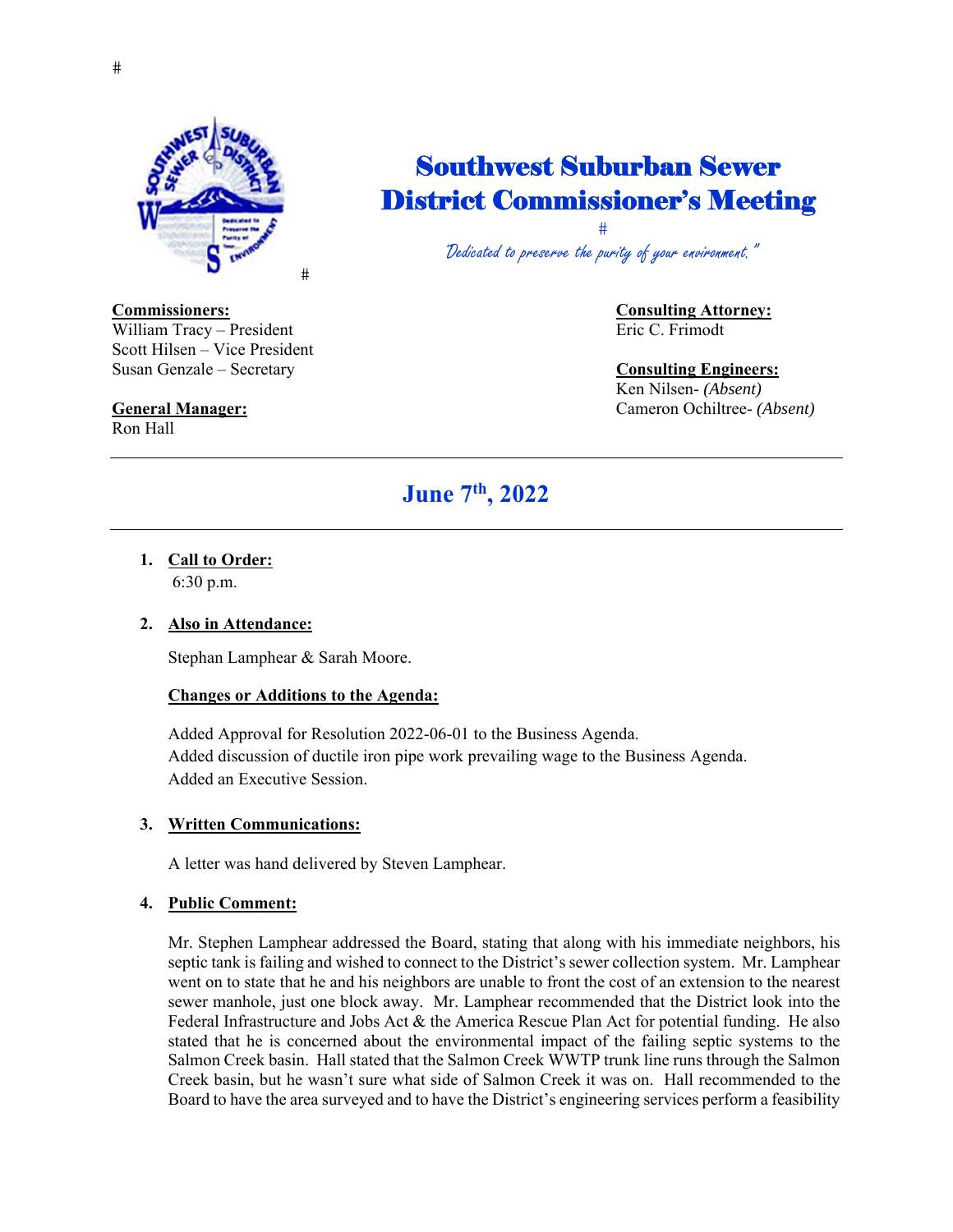

## Southwest Suburban Sewer District Commissioner's Meeting

 $\ddagger$ "Dedicated to preserve the purity of your environment."

William Tracy – President Eric C. Frimodt Eric C. Frimodt Scott Hilsen – Vice President Susan Genzale – Secretary **Consulting Engineers:**

Ron Hall

# **Commissioners: Consulting Attorney:**

# Ken Nilsen- *(Absent)*

**General Manager:** Cameron Ochiltree- *(Absent)*

## **June 7th, 2022**

**1. Call to Order:**  6:30 p.m.

### **2. Also in Attendance:**

Stephan Lamphear & Sarah Moore.

#### **Changes or Additions to the Agenda:**

Added Approval for Resolution 2022-06-01 to the Business Agenda. Added discussion of ductile iron pipe work prevailing wage to the Business Agenda. Added an Executive Session.

#### **3. Written Communications:**

A letter was hand delivered by Steven Lamphear.

#### **4. Public Comment:**

Mr. Stephen Lamphear addressed the Board, stating that along with his immediate neighbors, his septic tank is failing and wished to connect to the District's sewer collection system. Mr. Lamphear went on to state that he and his neighbors are unable to front the cost of an extension to the nearest sewer manhole, just one block away. Mr. Lamphear recommended that the District look into the Federal Infrastructure and Jobs Act & the America Rescue Plan Act for potential funding. He also stated that he is concerned about the environmental impact of the failing septic systems to the Salmon Creek basin. Hall stated that the Salmon Creek WWTP trunk line runs through the Salmon Creek basin, but he wasn't sure what side of Salmon Creek it was on. Hall recommended to the Board to have the area surveyed and to have the District's engineering services perform a feasibility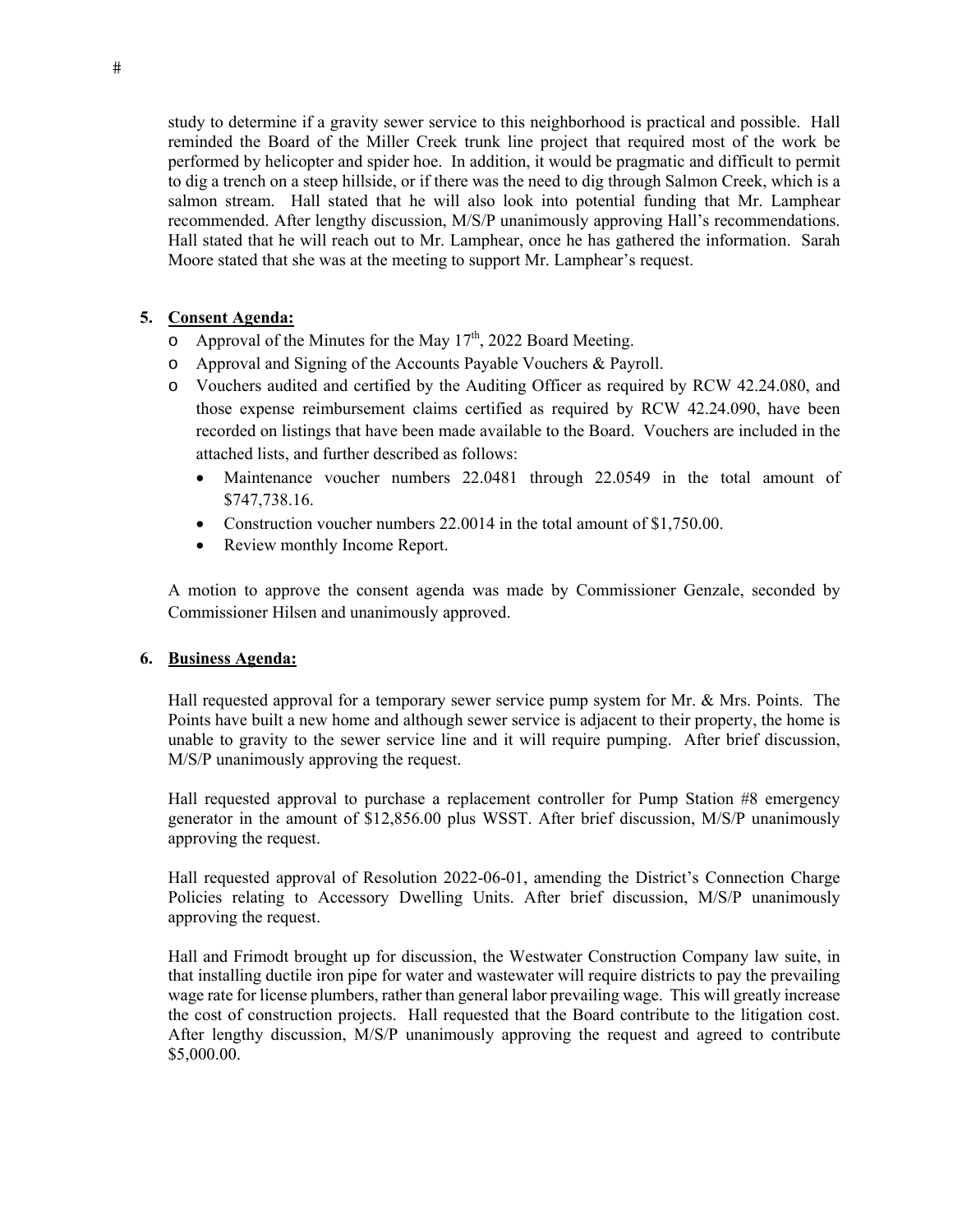study to determine if a gravity sewer service to this neighborhood is practical and possible. Hall reminded the Board of the Miller Creek trunk line project that required most of the work be performed by helicopter and spider hoe. In addition, it would be pragmatic and difficult to permit to dig a trench on a steep hillside, or if there was the need to dig through Salmon Creek, which is a salmon stream. Hall stated that he will also look into potential funding that Mr. Lamphear recommended. After lengthy discussion, M/S/P unanimously approving Hall's recommendations. Hall stated that he will reach out to Mr. Lamphear, once he has gathered the information. Sarah Moore stated that she was at the meeting to support Mr. Lamphear's request.

#### **5. Consent Agenda:**

- o Approval of the Minutes for the May  $17<sup>th</sup>$ , 2022 Board Meeting.
- o Approval and Signing of the Accounts Payable Vouchers & Payroll.
- o Vouchers audited and certified by the Auditing Officer as required by RCW 42.24.080, and those expense reimbursement claims certified as required by RCW 42.24.090, have been recorded on listings that have been made available to the Board. Vouchers are included in the attached lists, and further described as follows:
	- Maintenance voucher numbers 22.0481 through 22.0549 in the total amount of \$747,738.16.
	- Construction voucher numbers 22.0014 in the total amount of \$1,750.00.
	- Review monthly Income Report.

A motion to approve the consent agenda was made by Commissioner Genzale, seconded by Commissioner Hilsen and unanimously approved.

#### **6. Business Agenda:**

Hall requested approval for a temporary sewer service pump system for Mr. & Mrs. Points. The Points have built a new home and although sewer service is adjacent to their property, the home is unable to gravity to the sewer service line and it will require pumping. After brief discussion, M/S/P unanimously approving the request.

Hall requested approval to purchase a replacement controller for Pump Station #8 emergency generator in the amount of \$12,856.00 plus WSST. After brief discussion, M/S/P unanimously approving the request.

Hall requested approval of Resolution 2022-06-01, amending the District's Connection Charge Policies relating to Accessory Dwelling Units. After brief discussion, M/S/P unanimously approving the request.

Hall and Frimodt brought up for discussion, the Westwater Construction Company law suite, in that installing ductile iron pipe for water and wastewater will require districts to pay the prevailing wage rate for license plumbers, rather than general labor prevailing wage. This will greatly increase the cost of construction projects. Hall requested that the Board contribute to the litigation cost. After lengthy discussion, M/S/P unanimously approving the request and agreed to contribute \$5,000.00.